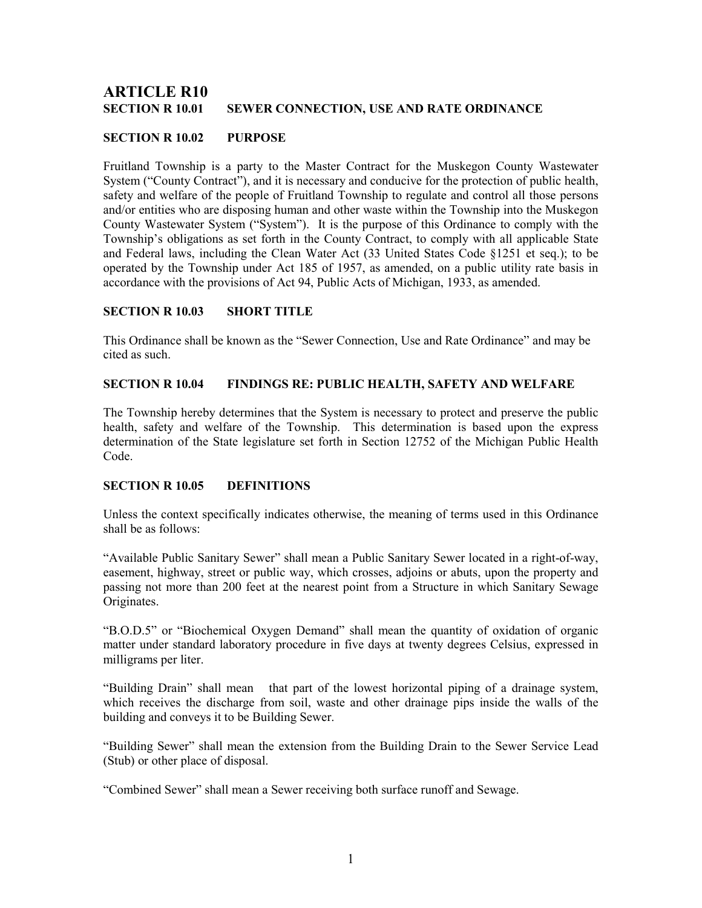# **ARTICLE R10<br>SECTION R 10.01** SEWER CONNECTION, USE AND RATE ORDINANCE

# SECTION R 10.02 PURPOSE

Fruitland Township is a party to the Master Contract for the Muskegon County Wastewater System ("County Contract"), and it is necessary and conducive for the protection of public health, safety and welfare of the people of Fruitland Township to regulate and control all those persons and/or entities who are disposing human and other waste within the Township into the Muskegon County Wastewater System ("System"). It is the purpose of this Ordinance to comply with the Township's obligations as set forth in the County Contract, to comply with all applicable State and Federal laws, including the Clean Water Act (33 United States Code §1251 et seq.); to be operated by the Township under Act 185 of 1957, as amended, on a public utility rate basis in accordance with the provisions of Act 94, Public Acts of Michigan, 1933, as amended.

# SECTION R 10.03 SHORT TITLE

This Ordinance shall be known as the "Sewer Connection, Use and Rate Ordinance" and may be cited as such.

## SECTION R 10.04 FINDINGS RE: PUBLIC HEALTH, SAFETY AND WELFARE

The Township hereby determines that the System is necessary to protect and preserve the public health, safety and welfare of the Township. This determination is based upon the express determination of the State legislature set forth in Section 12752 of the Michigan Public Health Code.

# SECTION R 10.05 DEFINITIONS

Unless the context specifically indicates otherwise, the meaning of terms used in this Ordinance shall be as follows:

"Available Public Sanitary Sewer" shall mean a Public Sanitary Sewer located in a right-of-way, easement, highway, street or public way, which crosses, adjoins or abuts, upon the property and passing not more than 200 feet at the nearest point from a Structure in which Sanitary Sewage Originates.

"B.O.D.5" or "Biochemical Oxygen Demand" shall mean the quantity of oxidation of organic matter under standard laboratory procedure in five days at twenty degrees Celsius, expressed in milligrams per liter.

"Building Drain" shall mean that part of the lowest horizontal piping of a drainage system, which receives the discharge from soil, waste and other drainage pips inside the walls of the building and conveys it to be Building Sewer.

"Building Sewer" shall mean the extension from the Building Drain to the Sewer Service Lead (Stub) or other place of disposal.

"Combined Sewer" shall mean a Sewer receiving both surface runoff and Sewage.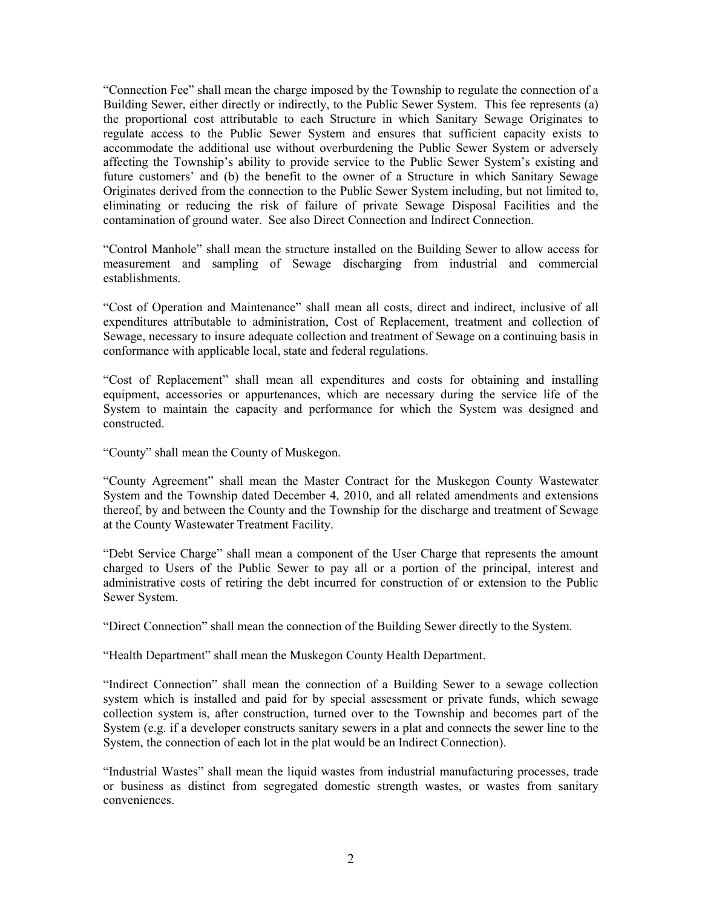"Connection Fee" shall mean the charge imposed by the Township to regulate the connection of a Building Sewer, either directly or indirectly, to the Public Sewer System. This fee represents (a) the proportional cost attributable to each Structure in which Sanitary Sewage Originates to regulate access to the Public Sewer System and ensures that sufficient capacity exists to accommodate the additional use without overburdening the Public Sewer System or adversely affecting the Township's ability to provide service to the Public Sewer System's existing and future customers' and (b) the benefit to the owner of a Structure in which Sanitary Sewage Originates derived from the connection to the Public Sewer System including, but not limited to, eliminating or reducing the risk of failure of private Sewage Disposal Facilities and the contamination of ground water. See also Direct Connection and Indirect Connection.

"Control Manhole" shall mean the structure installed on the Building Sewer to allow access for measurement and sampling of Sewage discharging from industrial and commercial establishments.

"Cost of Operation and Maintenance" shall mean all costs, direct and indirect, inclusive of all expenditures attributable to administration, Cost of Replacement, treatment and collection of Sewage, necessary to insure adequate collection and treatment of Sewage on a continuing basis in conformance with applicable local, state and federal regulations.

"Cost of Replacement" shall mean all expenditures and costs for obtaining and installing equipment, accessories or appurtenances, which are necessary during the service life of the System to maintain the capacity and performance for which the System was designed and constructed.

"County" shall mean the County of Muskegon.

"County Agreement" shall mean the Master Contract for the Muskegon County Wastewater System and the Township dated December 4, 2010, and all related amendments and extensions thereof, by and between the County and the Township for the discharge and treatment of Sewage at the County Wastewater Treatment Facility.

"Debt Service Charge" shall mean a component of the User Charge that represents the amount charged to Users of the Public Sewer to pay all or a portion of the principal, interest and administrative costs of retiring the debt incurred for construction of or extension to the Public Sewer System.

"Direct Connection" shall mean the connection of the Building Sewer directly to the System.

"Health Department" shall mean the Muskegon County Health Department.

"Indirect Connection" shall mean the connection of a Building Sewer to a sewage collection system which is installed and paid for by special assessment or private funds, which sewage collection system is, after construction, turned over to the Township and becomes part of the System (e.g. if a developer constructs sanitary sewers in a plat and connects the sewer line to the System, the connection of each lot in the plat would be an Indirect Connection).

"Industrial Wastes" shall mean the liquid wastes from industrial manufacturing processes, trade or business as distinct from segregated domestic strength wastes, or wastes from sanitary conveniences.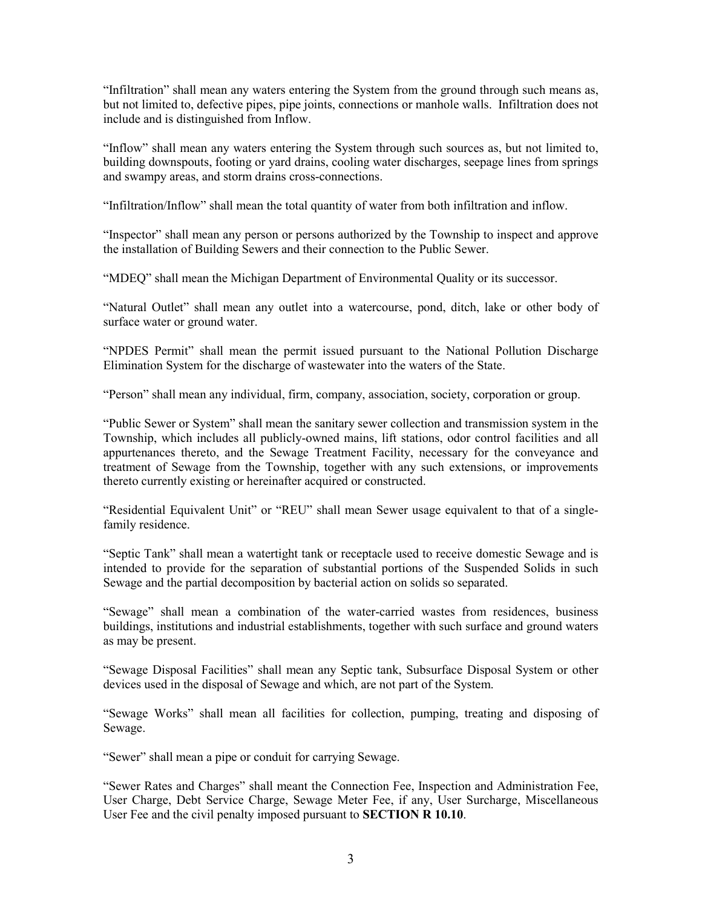"Infiltration" shall mean any waters entering the System from the ground through such means as, but not limited to, defective pipes, pipe joints, connections or manhole walls. Infiltration does not include and is distinguished from Inflow.

"Inflow" shall mean any waters entering the System through such sources as, but not limited to, building downspouts, footing or yard drains, cooling water discharges, seepage lines from springs and swampy areas, and storm drains cross-connections.

"Infiltration/Inflow" shall mean the total quantity of water from both infiltration and inflow.

"Inspector" shall mean any person or persons authorized by the Township to inspect and approve the installation of Building Sewers and their connection to the Public Sewer.

"MDEQ" shall mean the Michigan Department of Environmental Quality or its successor.

"Natural Outlet" shall mean any outlet into a watercourse, pond, ditch, lake or other body of surface water or ground water.

"NPDES Permit" shall mean the permit issued pursuant to the National Pollution Discharge Elimination System for the discharge of wastewater into the waters of the State.

"Person" shall mean any individual, firm, company, association, society, corporation or group.

"Public Sewer or System" shall mean the sanitary sewer collection and transmission system in the Township, which includes all publicly-owned mains, lift stations, odor control facilities and all appurtenances thereto, and the Sewage Treatment Facility, necessary for the conveyance and treatment of Sewage from the Township, together with any such extensions, or improvements thereto currently existing or hereinafter acquired or constructed.

"Residential Equivalent Unit" or "REU" shall mean Sewer usage equivalent to that of a singlefamily residence.

"Septic Tank" shall mean a watertight tank or receptacle used to receive domestic Sewage and is intended to provide for the separation of substantial portions of the Suspended Solids in such Sewage and the partial decomposition by bacterial action on solids so separated.

"Sewage" shall mean a combination of the water-carried wastes from residences, business buildings, institutions and industrial establishments, together with such surface and ground waters as may be present.

"Sewage Disposal Facilities" shall mean any Septic tank, Subsurface Disposal System or other devices used in the disposal of Sewage and which, are not part of the System.

"Sewage Works" shall mean all facilities for collection, pumping, treating and disposing of Sewage.

"Sewer" shall mean a pipe or conduit for carrying Sewage.

"Sewer Rates and Charges" shall meant the Connection Fee, Inspection and Administration Fee, User Charge, Debt Service Charge, Sewage Meter Fee, if any, User Surcharge, Miscellaneous User Fee and the civil penalty imposed pursuant to SECTION R 10.10.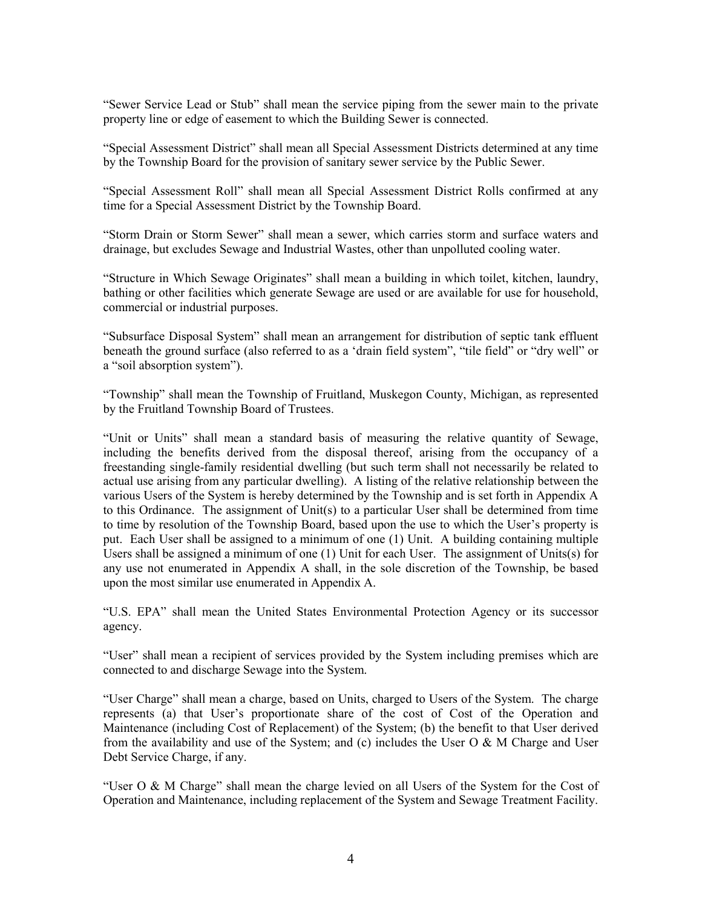"Sewer Service Lead or Stub" shall mean the service piping from the sewer main to the private property line or edge of easement to which the Building Sewer is connected.

"Special Assessment District" shall mean all Special Assessment Districts determined at any time by the Township Board for the provision of sanitary sewer service by the Public Sewer.

"Special Assessment Roll" shall mean all Special Assessment District Rolls confirmed at any time for a Special Assessment District by the Township Board.

"Storm Drain or Storm Sewer" shall mean a sewer, which carries storm and surface waters and drainage, but excludes Sewage and Industrial Wastes, other than unpolluted cooling water.

"Structure in Which Sewage Originates" shall mean a building in which toilet, kitchen, laundry, bathing or other facilities which generate Sewage are used or are available for use for household, commercial or industrial purposes.

"Subsurface Disposal System" shall mean an arrangement for distribution of septic tank effluent beneath the ground surface (also referred to as a 'drain field system", "tile field" or "dry well" or a "soil absorption system").

"Township" shall mean the Township of Fruitland, Muskegon County, Michigan, as represented by the Fruitland Township Board of Trustees.

"Unit or Units" shall mean a standard basis of measuring the relative quantity of Sewage, including the benefits derived from the disposal thereof, arising from the occupancy of a freestanding single-family residential dwelling (but such term shall not necessarily be related to actual use arising from any particular dwelling). A listing of the relative relationship between the various Users of the System is hereby determined by the Township and is set forth in Appendix A to this Ordinance. The assignment of Unit(s) to a particular User shall be determined from time to time by resolution of the Township Board, based upon the use to which the User's property is put. Each User shall be assigned to a minimum of one (1) Unit. A building containing multiple Users shall be assigned a minimum of one  $(1)$  Unit for each User. The assignment of Units(s) for any use not enumerated in Appendix A shall, in the sole discretion of the Township, be based upon the most similar use enumerated in Appendix A.

"U.S. EPA" shall mean the United States Environmental Protection Agency or its successor agency.

"User" shall mean a recipient of services provided by the System including premises which are connected to and discharge Sewage into the System.

"User Charge" shall mean a charge, based on Units, charged to Users of the System. The charge represents (a) that User's proportionate share of the cost of Cost of the Operation and Maintenance (including Cost of Replacement) of the System; (b) the benefit to that User derived from the availability and use of the System; and (c) includes the User O  $\& M$  Charge and User Debt Service Charge, if any.

"User O & M Charge" shall mean the charge levied on all Users of the System for the Cost of Operation and Maintenance, including replacement of the System and Sewage Treatment Facility.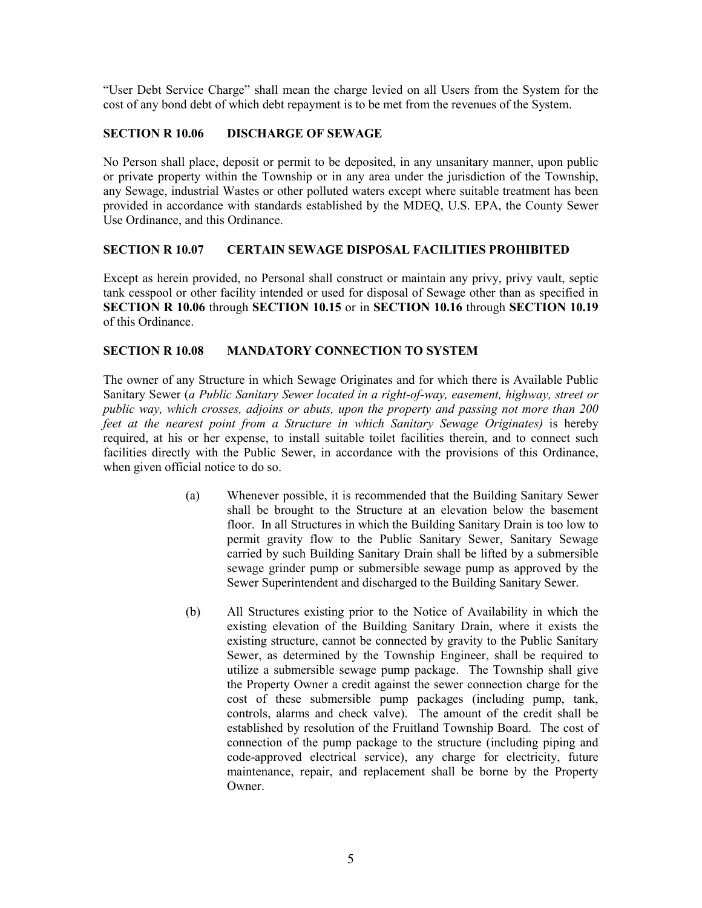"User Debt Service Charge" shall mean the charge levied on all Users from the System for the cost of any bond debt of which debt repayment is to be met from the revenues of the System.

# SECTION R 10.06 DISCHARGE OF SEWAGE

No Person shall place, deposit or permit to be deposited, in any unsanitary manner, upon public or private property within the Township or in any area under the jurisdiction of the Township, any Sewage, industrial Wastes or other polluted waters except where suitable treatment has been provided in accordance with standards established by the MDEQ, U.S. EPA, the County Sewer Use Ordinance, and this Ordinance.

# SECTION R 10.07 CERTAIN SEWAGE DISPOSAL FACILITIES PROHIBITED

Except as herein provided, no Personal shall construct or maintain any privy, privy vault, septic tank cesspool or other facility intended or used for disposal of Sewage other than as specified in SECTION R 10.06 through SECTION 10.15 or in SECTION 10.16 through SECTION 10.19 of this Ordinance.

# SECTION R 10.08 MANDATORY CONNECTION TO SYSTEM

The owner of any Structure in which Sewage Originates and for which there is Available Public Sanitary Sewer (a Public Sanitary Sewer located in a right-of-way, easement, highway, street or public way, which crosses, adjoins or abuts, upon the property and passing not more than 200 feet at the nearest point from a Structure in which Sanitary Sewage Originates) is hereby required, at his or her expense, to install suitable toilet facilities therein, and to connect such facilities directly with the Public Sewer, in accordance with the provisions of this Ordinance, when given official notice to do so.

- (a) Whenever possible, it is recommended that the Building Sanitary Sewer shall be brought to the Structure at an elevation below the basement floor. In all Structures in which the Building Sanitary Drain is too low to permit gravity flow to the Public Sanitary Sewer, Sanitary Sewage carried by such Building Sanitary Drain shall be lifted by a submersible sewage grinder pump or submersible sewage pump as approved by the Sewer Superintendent and discharged to the Building Sanitary Sewer.
- (b) All Structures existing prior to the Notice of Availability in which the existing elevation of the Building Sanitary Drain, where it exists the existing structure, cannot be connected by gravity to the Public Sanitary Sewer, as determined by the Township Engineer, shall be required to utilize a submersible sewage pump package. The Township shall give the Property Owner a credit against the sewer connection charge for the cost of these submersible pump packages (including pump, tank, controls, alarms and check valve). The amount of the credit shall be established by resolution of the Fruitland Township Board. The cost of connection of the pump package to the structure (including piping and code-approved electrical service), any charge for electricity, future maintenance, repair, and replacement shall be borne by the Property Owner.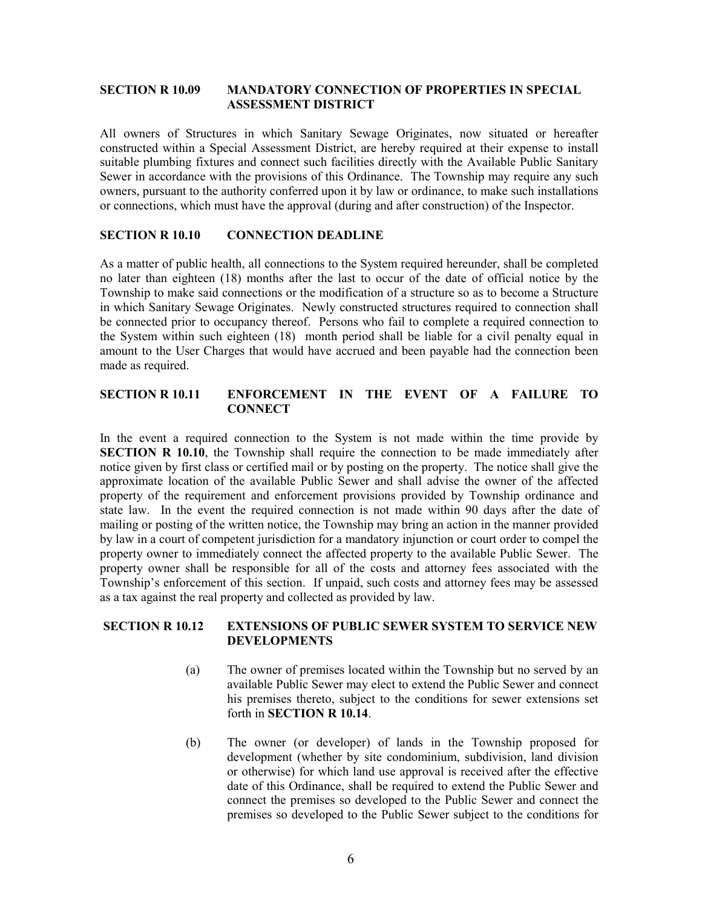#### SECTION R 10.09 MANDATORY CONNECTION OF PROPERTIES IN SPECIAL ASSESSMENT DISTRICT

All owners of Structures in which Sanitary Sewage Originates, now situated or hereafter constructed within a Special Assessment District, are hereby required at their expense to install suitable plumbing fixtures and connect such facilities directly with the Available Public Sanitary Sewer in accordance with the provisions of this Ordinance. The Township may require any such owners, pursuant to the authority conferred upon it by law or ordinance, to make such installations or connections, which must have the approval (during and after construction) of the Inspector.

#### SECTION R 10.10 CONNECTION DEADLINE

As a matter of public health, all connections to the System required hereunder, shall be completed no later than eighteen (18) months after the last to occur of the date of official notice by the Township to make said connections or the modification of a structure so as to become a Structure in which Sanitary Sewage Originates. Newly constructed structures required to connection shall be connected prior to occupancy thereof. Persons who fail to complete a required connection to the System within such eighteen (18) month period shall be liable for a civil penalty equal in amount to the User Charges that would have accrued and been payable had the connection been made as required.

# SECTION R 10.11 ENFORCEMENT IN THE EVENT OF A FAILURE TO **CONNECT**

In the event a required connection to the System is not made within the time provide by SECTION R 10.10, the Township shall require the connection to be made immediately after notice given by first class or certified mail or by posting on the property. The notice shall give the approximate location of the available Public Sewer and shall advise the owner of the affected property of the requirement and enforcement provisions provided by Township ordinance and state law. In the event the required connection is not made within 90 days after the date of mailing or posting of the written notice, the Township may bring an action in the manner provided by law in a court of competent jurisdiction for a mandatory injunction or court order to compel the property owner to immediately connect the affected property to the available Public Sewer. The property owner shall be responsible for all of the costs and attorney fees associated with the Township's enforcement of this section. If unpaid, such costs and attorney fees may be assessed as a tax against the real property and collected as provided by law.

#### SECTION R 10.12 EXTENSIONS OF PUBLIC SEWER SYSTEM TO SERVICE NEW DEVELOPMENTS

- (a) The owner of premises located within the Township but no served by an available Public Sewer may elect to extend the Public Sewer and connect his premises thereto, subject to the conditions for sewer extensions set forth in SECTION R 10.14.
- (b) The owner (or developer) of lands in the Township proposed for development (whether by site condominium, subdivision, land division or otherwise) for which land use approval is received after the effective date of this Ordinance, shall be required to extend the Public Sewer and connect the premises so developed to the Public Sewer and connect the premises so developed to the Public Sewer subject to the conditions for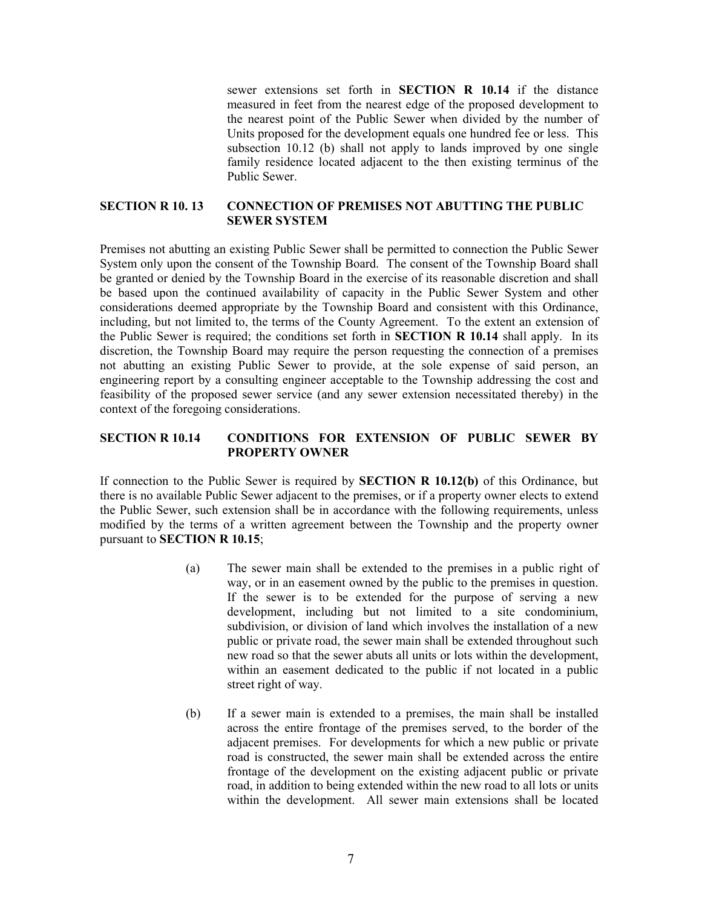sewer extensions set forth in **SECTION R 10.14** if the distance measured in feet from the nearest edge of the proposed development to the nearest point of the Public Sewer when divided by the number of Units proposed for the development equals one hundred fee or less. This subsection 10.12 (b) shall not apply to lands improved by one single family residence located adjacent to the then existing terminus of the Public Sewer.

## SECTION R 10. 13 CONNECTION OF PREMISES NOT ABUTTING THE PUBLIC SEWER SYSTEM

Premises not abutting an existing Public Sewer shall be permitted to connection the Public Sewer System only upon the consent of the Township Board. The consent of the Township Board shall be granted or denied by the Township Board in the exercise of its reasonable discretion and shall be based upon the continued availability of capacity in the Public Sewer System and other considerations deemed appropriate by the Township Board and consistent with this Ordinance, including, but not limited to, the terms of the County Agreement. To the extent an extension of the Public Sewer is required; the conditions set forth in SECTION R 10.14 shall apply. In its discretion, the Township Board may require the person requesting the connection of a premises not abutting an existing Public Sewer to provide, at the sole expense of said person, an engineering report by a consulting engineer acceptable to the Township addressing the cost and feasibility of the proposed sewer service (and any sewer extension necessitated thereby) in the context of the foregoing considerations.

## SECTION R 10.14 CONDITIONS FOR EXTENSION OF PUBLIC SEWER BY PROPERTY OWNER

If connection to the Public Sewer is required by SECTION R 10.12(b) of this Ordinance, but there is no available Public Sewer adjacent to the premises, or if a property owner elects to extend the Public Sewer, such extension shall be in accordance with the following requirements, unless modified by the terms of a written agreement between the Township and the property owner pursuant to SECTION R 10.15;

- (a) The sewer main shall be extended to the premises in a public right of way, or in an easement owned by the public to the premises in question. If the sewer is to be extended for the purpose of serving a new development, including but not limited to a site condominium, subdivision, or division of land which involves the installation of a new public or private road, the sewer main shall be extended throughout such new road so that the sewer abuts all units or lots within the development, within an easement dedicated to the public if not located in a public street right of way.
- (b) If a sewer main is extended to a premises, the main shall be installed across the entire frontage of the premises served, to the border of the adjacent premises. For developments for which a new public or private road is constructed, the sewer main shall be extended across the entire frontage of the development on the existing adjacent public or private road, in addition to being extended within the new road to all lots or units within the development. All sewer main extensions shall be located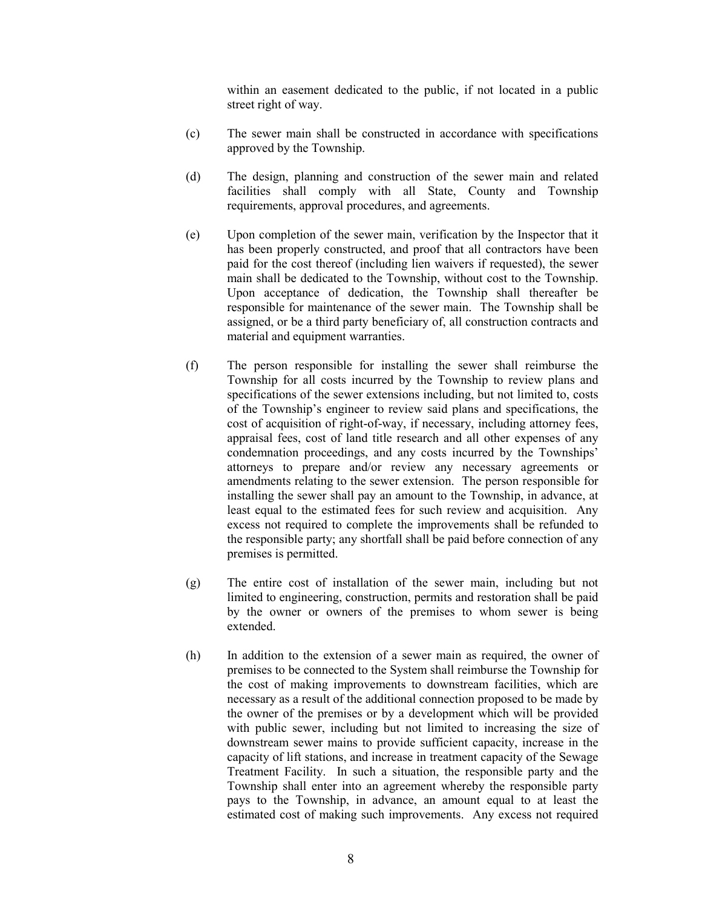within an easement dedicated to the public, if not located in a public street right of way.

- (c) The sewer main shall be constructed in accordance with specifications approved by the Township.
- (d) The design, planning and construction of the sewer main and related facilities shall comply with all State, County and Township requirements, approval procedures, and agreements.
- (e) Upon completion of the sewer main, verification by the Inspector that it has been properly constructed, and proof that all contractors have been paid for the cost thereof (including lien waivers if requested), the sewer main shall be dedicated to the Township, without cost to the Township. Upon acceptance of dedication, the Township shall thereafter be responsible for maintenance of the sewer main. The Township shall be assigned, or be a third party beneficiary of, all construction contracts and material and equipment warranties.
- (f) The person responsible for installing the sewer shall reimburse the Township for all costs incurred by the Township to review plans and specifications of the sewer extensions including, but not limited to, costs of the Township's engineer to review said plans and specifications, the cost of acquisition of right-of-way, if necessary, including attorney fees, appraisal fees, cost of land title research and all other expenses of any condemnation proceedings, and any costs incurred by the Townships' attorneys to prepare and/or review any necessary agreements or amendments relating to the sewer extension. The person responsible for installing the sewer shall pay an amount to the Township, in advance, at least equal to the estimated fees for such review and acquisition. Any excess not required to complete the improvements shall be refunded to the responsible party; any shortfall shall be paid before connection of any premises is permitted.
- (g) The entire cost of installation of the sewer main, including but not limited to engineering, construction, permits and restoration shall be paid by the owner or owners of the premises to whom sewer is being extended.
- (h) In addition to the extension of a sewer main as required, the owner of premises to be connected to the System shall reimburse the Township for the cost of making improvements to downstream facilities, which are necessary as a result of the additional connection proposed to be made by the owner of the premises or by a development which will be provided with public sewer, including but not limited to increasing the size of downstream sewer mains to provide sufficient capacity, increase in the capacity of lift stations, and increase in treatment capacity of the Sewage Treatment Facility. In such a situation, the responsible party and the Township shall enter into an agreement whereby the responsible party pays to the Township, in advance, an amount equal to at least the estimated cost of making such improvements. Any excess not required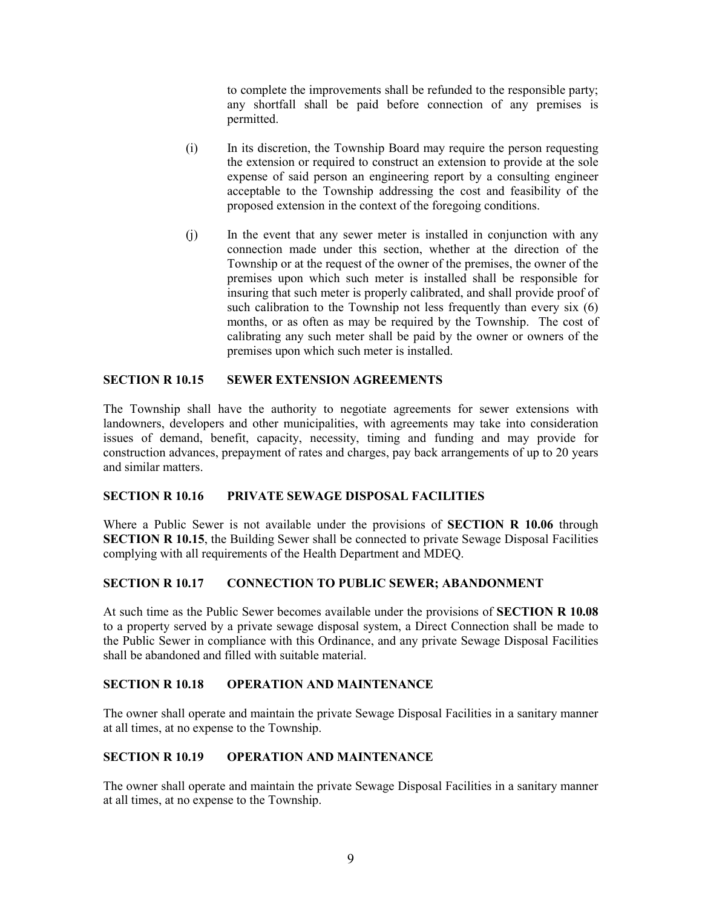to complete the improvements shall be refunded to the responsible party; any shortfall shall be paid before connection of any premises is permitted.

- (i) In its discretion, the Township Board may require the person requesting the extension or required to construct an extension to provide at the sole expense of said person an engineering report by a consulting engineer acceptable to the Township addressing the cost and feasibility of the proposed extension in the context of the foregoing conditions.
- (j) In the event that any sewer meter is installed in conjunction with any connection made under this section, whether at the direction of the Township or at the request of the owner of the premises, the owner of the premises upon which such meter is installed shall be responsible for insuring that such meter is properly calibrated, and shall provide proof of such calibration to the Township not less frequently than every six (6) months, or as often as may be required by the Township. The cost of calibrating any such meter shall be paid by the owner or owners of the premises upon which such meter is installed.

# SECTION R 10.15 SEWER EXTENSION AGREEMENTS

The Township shall have the authority to negotiate agreements for sewer extensions with landowners, developers and other municipalities, with agreements may take into consideration issues of demand, benefit, capacity, necessity, timing and funding and may provide for construction advances, prepayment of rates and charges, pay back arrangements of up to 20 years and similar matters.

#### SECTION R 10.16 PRIVATE SEWAGE DISPOSAL FACILITIES

Where a Public Sewer is not available under the provisions of **SECTION R 10.06** through SECTION R 10.15, the Building Sewer shall be connected to private Sewage Disposal Facilities complying with all requirements of the Health Department and MDEQ.

## SECTION R 10.17 CONNECTION TO PUBLIC SEWER; ABANDONMENT

At such time as the Public Sewer becomes available under the provisions of SECTION R 10.08 to a property served by a private sewage disposal system, a Direct Connection shall be made to the Public Sewer in compliance with this Ordinance, and any private Sewage Disposal Facilities shall be abandoned and filled with suitable material.

#### SECTION R 10.18 OPERATION AND MAINTENANCE

The owner shall operate and maintain the private Sewage Disposal Facilities in a sanitary manner at all times, at no expense to the Township.

#### SECTION R 10.19 OPERATION AND MAINTENANCE

The owner shall operate and maintain the private Sewage Disposal Facilities in a sanitary manner at all times, at no expense to the Township.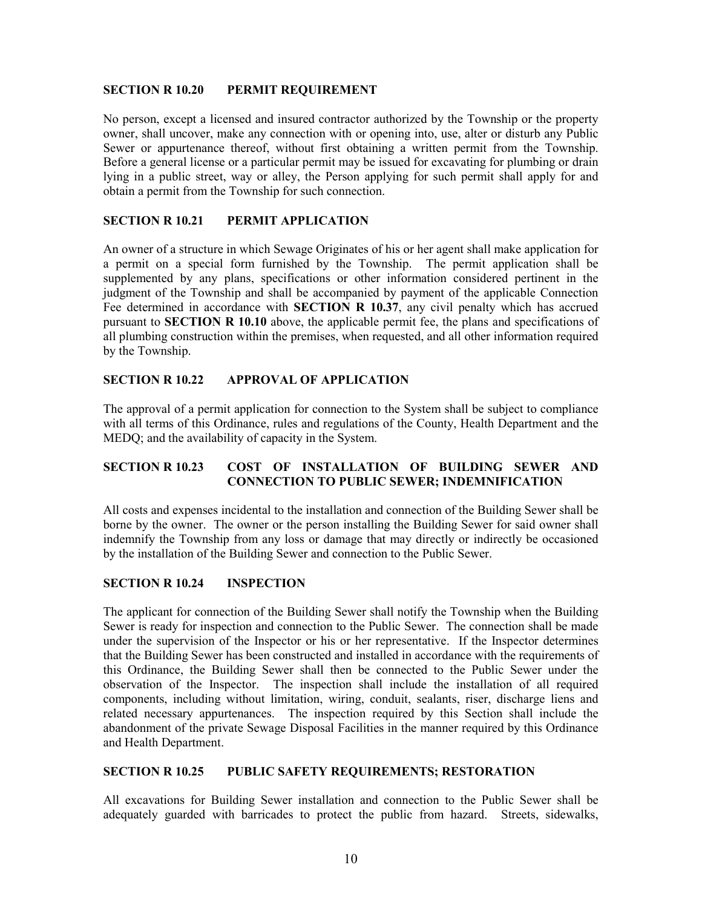#### SECTION R 10.20 PERMIT REQUIREMENT

No person, except a licensed and insured contractor authorized by the Township or the property owner, shall uncover, make any connection with or opening into, use, alter or disturb any Public Sewer or appurtenance thereof, without first obtaining a written permit from the Township. Before a general license or a particular permit may be issued for excavating for plumbing or drain lying in a public street, way or alley, the Person applying for such permit shall apply for and obtain a permit from the Township for such connection.

## SECTION R 10.21 PERMIT APPLICATION

An owner of a structure in which Sewage Originates of his or her agent shall make application for a permit on a special form furnished by the Township. The permit application shall be supplemented by any plans, specifications or other information considered pertinent in the judgment of the Township and shall be accompanied by payment of the applicable Connection Fee determined in accordance with **SECTION R 10.37**, any civil penalty which has accrued pursuant to SECTION R 10.10 above, the applicable permit fee, the plans and specifications of all plumbing construction within the premises, when requested, and all other information required by the Township.

## SECTION R 10.22 APPROVAL OF APPLICATION

The approval of a permit application for connection to the System shall be subject to compliance with all terms of this Ordinance, rules and regulations of the County, Health Department and the MEDQ; and the availability of capacity in the System.

# SECTION R 10.23 COST OF INSTALLATION OF BUILDING SEWER AND CONNECTION TO PUBLIC SEWER; INDEMNIFICATION

All costs and expenses incidental to the installation and connection of the Building Sewer shall be borne by the owner. The owner or the person installing the Building Sewer for said owner shall indemnify the Township from any loss or damage that may directly or indirectly be occasioned by the installation of the Building Sewer and connection to the Public Sewer.

## SECTION R 10.24 INSPECTION

The applicant for connection of the Building Sewer shall notify the Township when the Building Sewer is ready for inspection and connection to the Public Sewer. The connection shall be made under the supervision of the Inspector or his or her representative. If the Inspector determines that the Building Sewer has been constructed and installed in accordance with the requirements of this Ordinance, the Building Sewer shall then be connected to the Public Sewer under the observation of the Inspector. The inspection shall include the installation of all required components, including without limitation, wiring, conduit, sealants, riser, discharge liens and related necessary appurtenances. The inspection required by this Section shall include the abandonment of the private Sewage Disposal Facilities in the manner required by this Ordinance and Health Department.

## SECTION R 10.25 PUBLIC SAFETY REQUIREMENTS; RESTORATION

All excavations for Building Sewer installation and connection to the Public Sewer shall be adequately guarded with barricades to protect the public from hazard. Streets, sidewalks,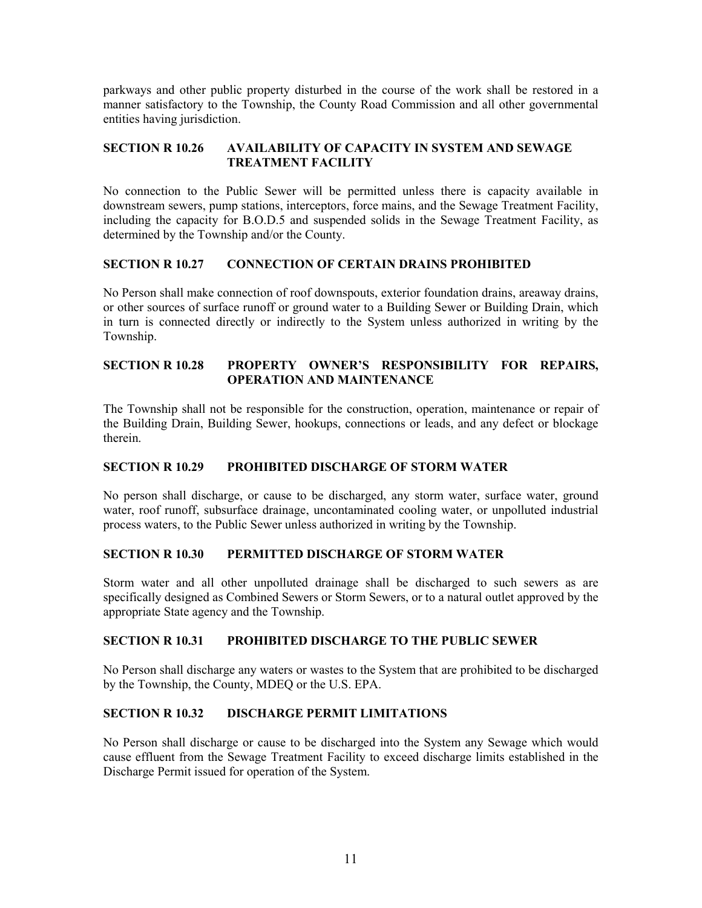parkways and other public property disturbed in the course of the work shall be restored in a manner satisfactory to the Township, the County Road Commission and all other governmental entities having jurisdiction.

# SECTION R 10.26 AVAILABILITY OF CAPACITY IN SYSTEM AND SEWAGE TREATMENT FACILITY

No connection to the Public Sewer will be permitted unless there is capacity available in downstream sewers, pump stations, interceptors, force mains, and the Sewage Treatment Facility, including the capacity for B.O.D.5 and suspended solids in the Sewage Treatment Facility, as determined by the Township and/or the County.

# SECTION R 10.27 CONNECTION OF CERTAIN DRAINS PROHIBITED

No Person shall make connection of roof downspouts, exterior foundation drains, areaway drains, or other sources of surface runoff or ground water to a Building Sewer or Building Drain, which in turn is connected directly or indirectly to the System unless authorized in writing by the Township.

# SECTION R 10.28 PROPERTY OWNER'S RESPONSIBILITY FOR REPAIRS, OPERATION AND MAINTENANCE

The Township shall not be responsible for the construction, operation, maintenance or repair of the Building Drain, Building Sewer, hookups, connections or leads, and any defect or blockage therein.

# SECTION R 10.29 PROHIBITED DISCHARGE OF STORM WATER

No person shall discharge, or cause to be discharged, any storm water, surface water, ground water, roof runoff, subsurface drainage, uncontaminated cooling water, or unpolluted industrial process waters, to the Public Sewer unless authorized in writing by the Township.

## SECTION R 10.30 PERMITTED DISCHARGE OF STORM WATER

Storm water and all other unpolluted drainage shall be discharged to such sewers as are specifically designed as Combined Sewers or Storm Sewers, or to a natural outlet approved by the appropriate State agency and the Township.

## SECTION R 10.31 PROHIBITED DISCHARGE TO THE PUBLIC SEWER

No Person shall discharge any waters or wastes to the System that are prohibited to be discharged by the Township, the County, MDEQ or the U.S. EPA.

## SECTION R 10.32 DISCHARGE PERMIT LIMITATIONS

No Person shall discharge or cause to be discharged into the System any Sewage which would cause effluent from the Sewage Treatment Facility to exceed discharge limits established in the Discharge Permit issued for operation of the System.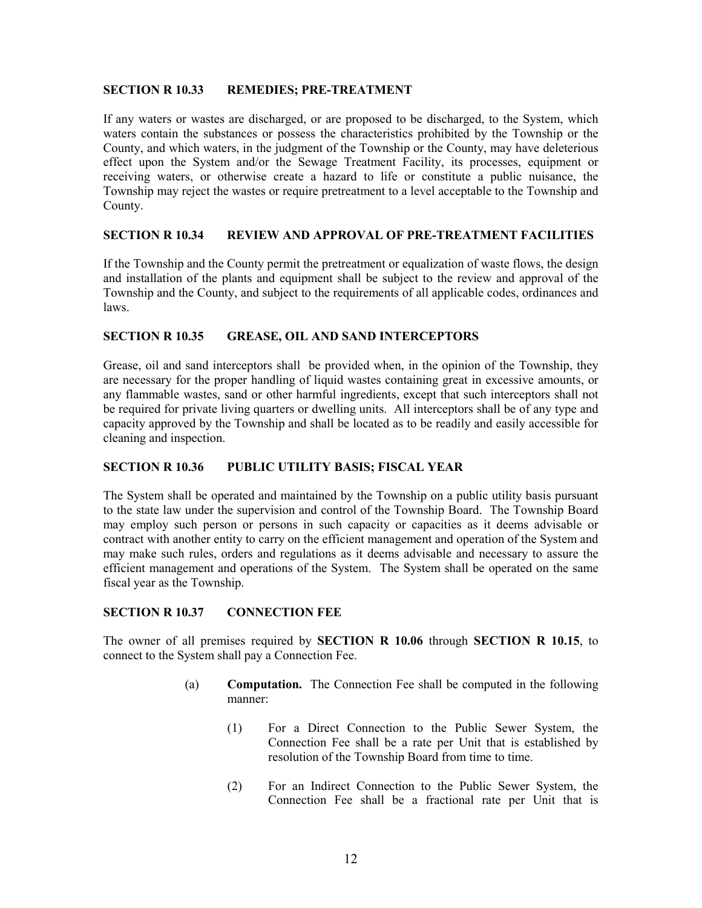#### SECTION R 10.33 REMEDIES; PRE-TREATMENT

If any waters or wastes are discharged, or are proposed to be discharged, to the System, which waters contain the substances or possess the characteristics prohibited by the Township or the County, and which waters, in the judgment of the Township or the County, may have deleterious effect upon the System and/or the Sewage Treatment Facility, its processes, equipment or receiving waters, or otherwise create a hazard to life or constitute a public nuisance, the Township may reject the wastes or require pretreatment to a level acceptable to the Township and County.

## SECTION R 10.34 REVIEW AND APPROVAL OF PRE-TREATMENT FACILITIES

If the Township and the County permit the pretreatment or equalization of waste flows, the design and installation of the plants and equipment shall be subject to the review and approval of the Township and the County, and subject to the requirements of all applicable codes, ordinances and laws.

#### SECTION R 10.35 GREASE, OIL AND SAND INTERCEPTORS

Grease, oil and sand interceptors shall be provided when, in the opinion of the Township, they are necessary for the proper handling of liquid wastes containing great in excessive amounts, or any flammable wastes, sand or other harmful ingredients, except that such interceptors shall not be required for private living quarters or dwelling units. All interceptors shall be of any type and capacity approved by the Township and shall be located as to be readily and easily accessible for cleaning and inspection.

## SECTION R 10.36 PUBLIC UTILITY BASIS; FISCAL YEAR

The System shall be operated and maintained by the Township on a public utility basis pursuant to the state law under the supervision and control of the Township Board. The Township Board may employ such person or persons in such capacity or capacities as it deems advisable or contract with another entity to carry on the efficient management and operation of the System and may make such rules, orders and regulations as it deems advisable and necessary to assure the efficient management and operations of the System. The System shall be operated on the same fiscal year as the Township.

## SECTION R 10.37 CONNECTION FEE

The owner of all premises required by SECTION R 10.06 through SECTION R 10.15, to connect to the System shall pay a Connection Fee.

- (a) Computation. The Connection Fee shall be computed in the following manner:
	- (1) For a Direct Connection to the Public Sewer System, the Connection Fee shall be a rate per Unit that is established by resolution of the Township Board from time to time.
	- (2) For an Indirect Connection to the Public Sewer System, the Connection Fee shall be a fractional rate per Unit that is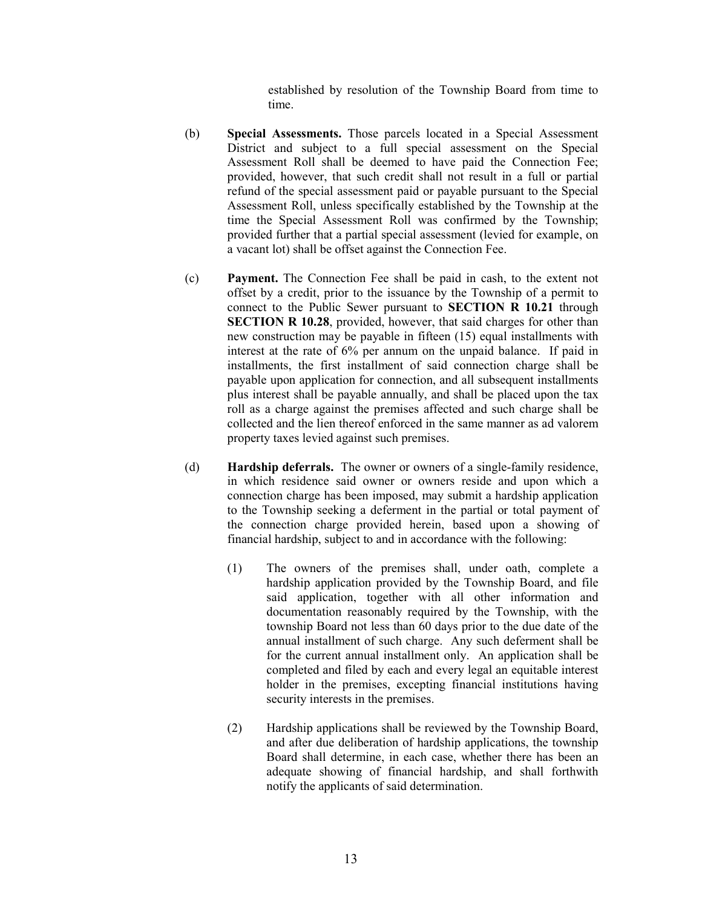established by resolution of the Township Board from time to time.

- (b) Special Assessments. Those parcels located in a Special Assessment District and subject to a full special assessment on the Special Assessment Roll shall be deemed to have paid the Connection Fee; provided, however, that such credit shall not result in a full or partial refund of the special assessment paid or payable pursuant to the Special Assessment Roll, unless specifically established by the Township at the time the Special Assessment Roll was confirmed by the Township; provided further that a partial special assessment (levied for example, on a vacant lot) shall be offset against the Connection Fee.
- (c) Payment. The Connection Fee shall be paid in cash, to the extent not offset by a credit, prior to the issuance by the Township of a permit to connect to the Public Sewer pursuant to SECTION R 10.21 through SECTION R 10.28, provided, however, that said charges for other than new construction may be payable in fifteen (15) equal installments with interest at the rate of 6% per annum on the unpaid balance. If paid in installments, the first installment of said connection charge shall be payable upon application for connection, and all subsequent installments plus interest shall be payable annually, and shall be placed upon the tax roll as a charge against the premises affected and such charge shall be collected and the lien thereof enforced in the same manner as ad valorem property taxes levied against such premises.
- (d) Hardship deferrals. The owner or owners of a single-family residence, in which residence said owner or owners reside and upon which a connection charge has been imposed, may submit a hardship application to the Township seeking a deferment in the partial or total payment of the connection charge provided herein, based upon a showing of financial hardship, subject to and in accordance with the following:
	- (1) The owners of the premises shall, under oath, complete a hardship application provided by the Township Board, and file said application, together with all other information and documentation reasonably required by the Township, with the township Board not less than 60 days prior to the due date of the annual installment of such charge. Any such deferment shall be for the current annual installment only. An application shall be completed and filed by each and every legal an equitable interest holder in the premises, excepting financial institutions having security interests in the premises.
	- (2) Hardship applications shall be reviewed by the Township Board, and after due deliberation of hardship applications, the township Board shall determine, in each case, whether there has been an adequate showing of financial hardship, and shall forthwith notify the applicants of said determination.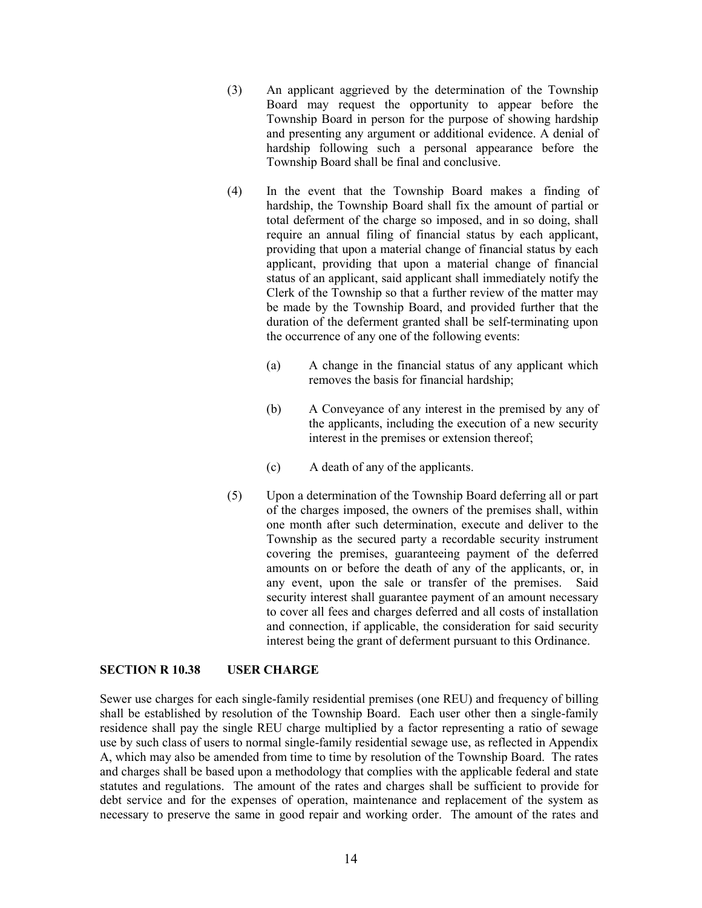- (3) An applicant aggrieved by the determination of the Township Board may request the opportunity to appear before the Township Board in person for the purpose of showing hardship and presenting any argument or additional evidence. A denial of hardship following such a personal appearance before the Township Board shall be final and conclusive.
- (4) In the event that the Township Board makes a finding of hardship, the Township Board shall fix the amount of partial or total deferment of the charge so imposed, and in so doing, shall require an annual filing of financial status by each applicant, providing that upon a material change of financial status by each applicant, providing that upon a material change of financial status of an applicant, said applicant shall immediately notify the Clerk of the Township so that a further review of the matter may be made by the Township Board, and provided further that the duration of the deferment granted shall be self-terminating upon the occurrence of any one of the following events:
	- (a) A change in the financial status of any applicant which removes the basis for financial hardship;
	- (b) A Conveyance of any interest in the premised by any of the applicants, including the execution of a new security interest in the premises or extension thereof;
	- (c) A death of any of the applicants.
- (5) Upon a determination of the Township Board deferring all or part of the charges imposed, the owners of the premises shall, within one month after such determination, execute and deliver to the Township as the secured party a recordable security instrument covering the premises, guaranteeing payment of the deferred amounts on or before the death of any of the applicants, or, in any event, upon the sale or transfer of the premises. Said security interest shall guarantee payment of an amount necessary to cover all fees and charges deferred and all costs of installation and connection, if applicable, the consideration for said security interest being the grant of deferment pursuant to this Ordinance.

## SECTION R 10.38 USER CHARGE

Sewer use charges for each single-family residential premises (one REU) and frequency of billing shall be established by resolution of the Township Board. Each user other then a single-family residence shall pay the single REU charge multiplied by a factor representing a ratio of sewage use by such class of users to normal single-family residential sewage use, as reflected in Appendix A, which may also be amended from time to time by resolution of the Township Board. The rates and charges shall be based upon a methodology that complies with the applicable federal and state statutes and regulations. The amount of the rates and charges shall be sufficient to provide for debt service and for the expenses of operation, maintenance and replacement of the system as necessary to preserve the same in good repair and working order. The amount of the rates and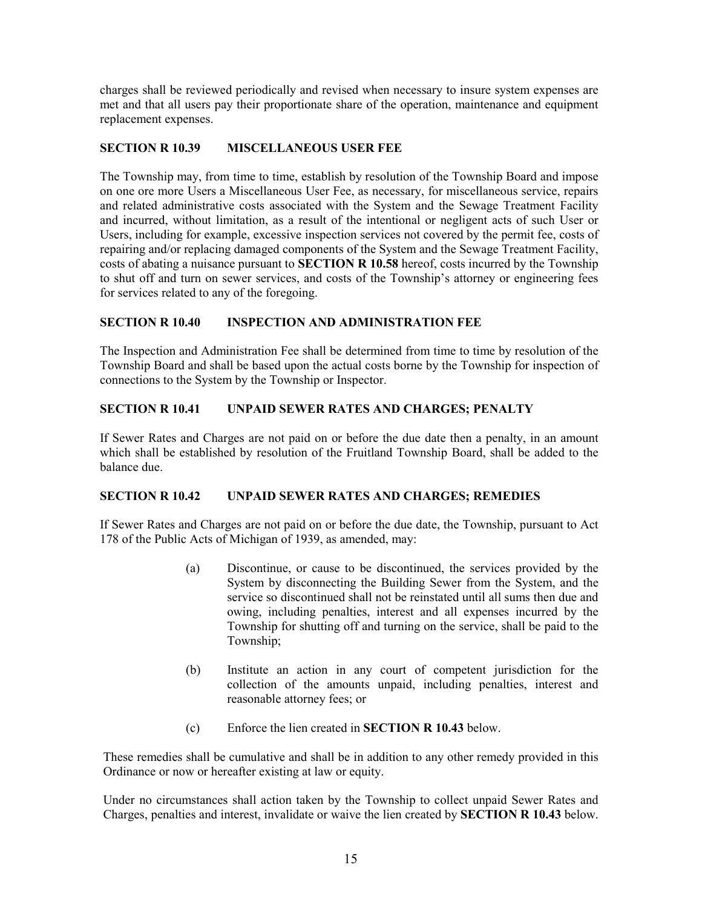charges shall be reviewed periodically and revised when necessary to insure system expenses are met and that all users pay their proportionate share of the operation, maintenance and equipment replacement expenses.

# SECTION R 10.39 MISCELLANEOUS USER FEE

The Township may, from time to time, establish by resolution of the Township Board and impose on one ore more Users a Miscellaneous User Fee, as necessary, for miscellaneous service, repairs and related administrative costs associated with the System and the Sewage Treatment Facility and incurred, without limitation, as a result of the intentional or negligent acts of such User or Users, including for example, excessive inspection services not covered by the permit fee, costs of repairing and/or replacing damaged components of the System and the Sewage Treatment Facility, costs of abating a nuisance pursuant to SECTION R 10.58 hereof, costs incurred by the Township to shut off and turn on sewer services, and costs of the Township's attorney or engineering fees for services related to any of the foregoing.

# SECTION R 10.40 INSPECTION AND ADMINISTRATION FEE

The Inspection and Administration Fee shall be determined from time to time by resolution of the Township Board and shall be based upon the actual costs borne by the Township for inspection of connections to the System by the Township or Inspector.

# SECTION R 10.41 UNPAID SEWER RATES AND CHARGES; PENALTY

If Sewer Rates and Charges are not paid on or before the due date then a penalty, in an amount which shall be established by resolution of the Fruitland Township Board, shall be added to the balance due.

## SECTION R 10.42 UNPAID SEWER RATES AND CHARGES; REMEDIES

If Sewer Rates and Charges are not paid on or before the due date, the Township, pursuant to Act 178 of the Public Acts of Michigan of 1939, as amended, may:

- (a) Discontinue, or cause to be discontinued, the services provided by the System by disconnecting the Building Sewer from the System, and the service so discontinued shall not be reinstated until all sums then due and owing, including penalties, interest and all expenses incurred by the Township for shutting off and turning on the service, shall be paid to the Township;
- (b) Institute an action in any court of competent jurisdiction for the collection of the amounts unpaid, including penalties, interest and reasonable attorney fees; or
- (c) Enforce the lien created in SECTION R 10.43 below.

These remedies shall be cumulative and shall be in addition to any other remedy provided in this Ordinance or now or hereafter existing at law or equity.

Under no circumstances shall action taken by the Township to collect unpaid Sewer Rates and Charges, penalties and interest, invalidate or waive the lien created by SECTION R 10.43 below.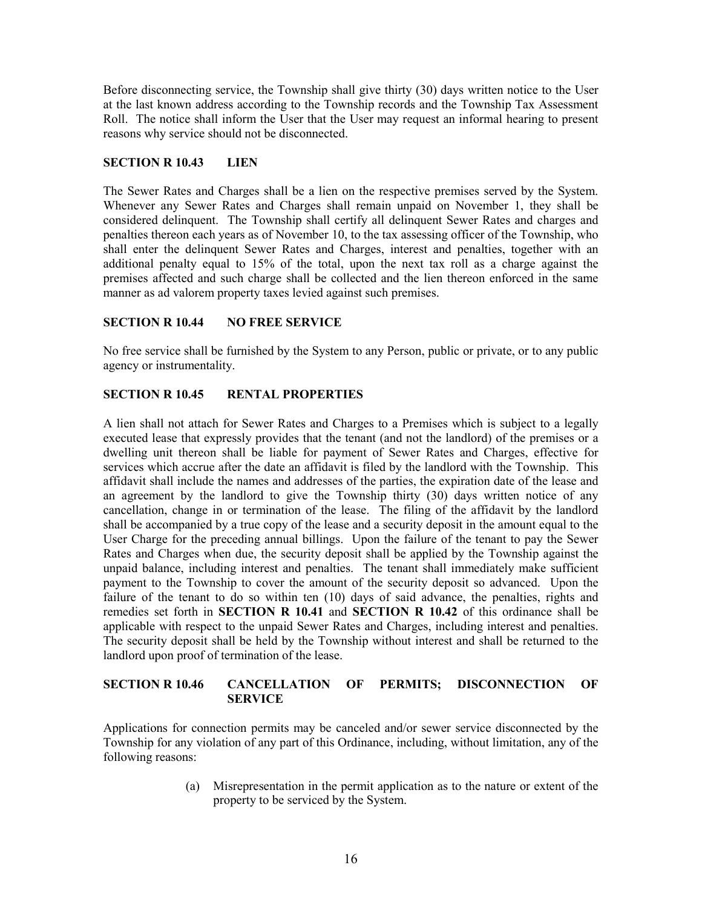Before disconnecting service, the Township shall give thirty (30) days written notice to the User at the last known address according to the Township records and the Township Tax Assessment Roll. The notice shall inform the User that the User may request an informal hearing to present reasons why service should not be disconnected.

# SECTION R 10.43 LIEN

The Sewer Rates and Charges shall be a lien on the respective premises served by the System. Whenever any Sewer Rates and Charges shall remain unpaid on November 1, they shall be considered delinquent. The Township shall certify all delinquent Sewer Rates and charges and penalties thereon each years as of November 10, to the tax assessing officer of the Township, who shall enter the delinquent Sewer Rates and Charges, interest and penalties, together with an additional penalty equal to 15% of the total, upon the next tax roll as a charge against the premises affected and such charge shall be collected and the lien thereon enforced in the same manner as ad valorem property taxes levied against such premises.

# SECTION R 10.44 NO FREE SERVICE

No free service shall be furnished by the System to any Person, public or private, or to any public agency or instrumentality.

# SECTION R 10.45 RENTAL PROPERTIES

A lien shall not attach for Sewer Rates and Charges to a Premises which is subject to a legally executed lease that expressly provides that the tenant (and not the landlord) of the premises or a dwelling unit thereon shall be liable for payment of Sewer Rates and Charges, effective for services which accrue after the date an affidavit is filed by the landlord with the Township. This affidavit shall include the names and addresses of the parties, the expiration date of the lease and an agreement by the landlord to give the Township thirty (30) days written notice of any cancellation, change in or termination of the lease. The filing of the affidavit by the landlord shall be accompanied by a true copy of the lease and a security deposit in the amount equal to the User Charge for the preceding annual billings. Upon the failure of the tenant to pay the Sewer Rates and Charges when due, the security deposit shall be applied by the Township against the unpaid balance, including interest and penalties. The tenant shall immediately make sufficient payment to the Township to cover the amount of the security deposit so advanced. Upon the failure of the tenant to do so within ten (10) days of said advance, the penalties, rights and remedies set forth in SECTION R 10.41 and SECTION R 10.42 of this ordinance shall be applicable with respect to the unpaid Sewer Rates and Charges, including interest and penalties. The security deposit shall be held by the Township without interest and shall be returned to the landlord upon proof of termination of the lease.

# SECTION R 10.46 CANCELLATION OF PERMITS; DISCONNECTION OF **SERVICE**

Applications for connection permits may be canceled and/or sewer service disconnected by the Township for any violation of any part of this Ordinance, including, without limitation, any of the following reasons:

> (a) Misrepresentation in the permit application as to the nature or extent of the property to be serviced by the System.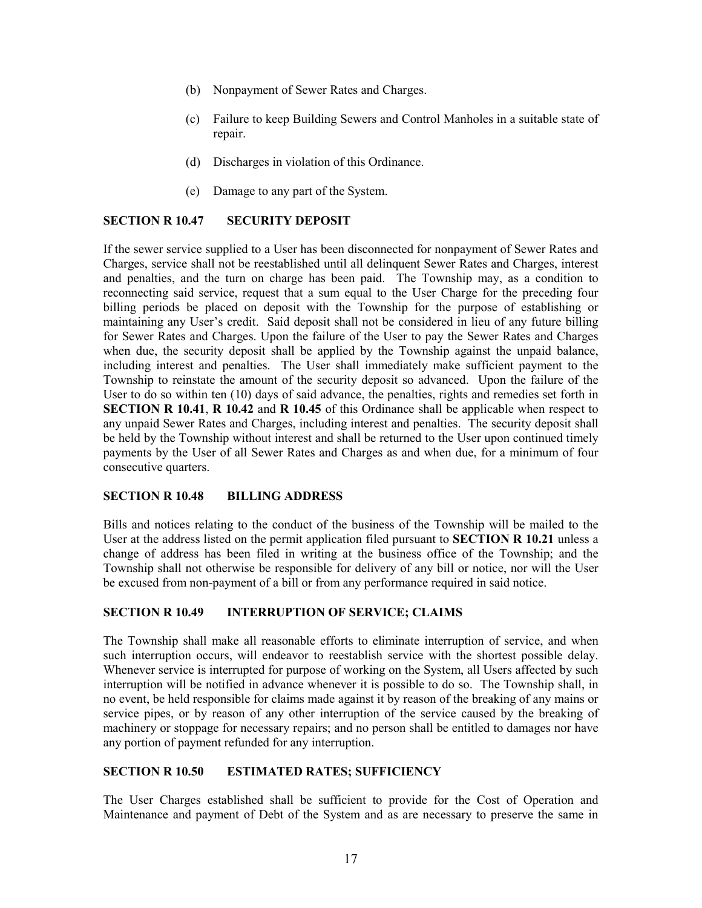- (b) Nonpayment of Sewer Rates and Charges.
- (c) Failure to keep Building Sewers and Control Manholes in a suitable state of repair.
- (d) Discharges in violation of this Ordinance.
- (e) Damage to any part of the System.

## SECTION R 10.47 SECURITY DEPOSIT

If the sewer service supplied to a User has been disconnected for nonpayment of Sewer Rates and Charges, service shall not be reestablished until all delinquent Sewer Rates and Charges, interest and penalties, and the turn on charge has been paid. The Township may, as a condition to reconnecting said service, request that a sum equal to the User Charge for the preceding four billing periods be placed on deposit with the Township for the purpose of establishing or maintaining any User's credit. Said deposit shall not be considered in lieu of any future billing for Sewer Rates and Charges. Upon the failure of the User to pay the Sewer Rates and Charges when due, the security deposit shall be applied by the Township against the unpaid balance, including interest and penalties. The User shall immediately make sufficient payment to the Township to reinstate the amount of the security deposit so advanced. Upon the failure of the User to do so within ten (10) days of said advance, the penalties, rights and remedies set forth in SECTION R 10.41, R 10.42 and R 10.45 of this Ordinance shall be applicable when respect to any unpaid Sewer Rates and Charges, including interest and penalties. The security deposit shall be held by the Township without interest and shall be returned to the User upon continued timely payments by the User of all Sewer Rates and Charges as and when due, for a minimum of four consecutive quarters.

## SECTION R 10.48 BILLING ADDRESS

Bills and notices relating to the conduct of the business of the Township will be mailed to the User at the address listed on the permit application filed pursuant to **SECTION R 10.21** unless a change of address has been filed in writing at the business office of the Township; and the Township shall not otherwise be responsible for delivery of any bill or notice, nor will the User be excused from non-payment of a bill or from any performance required in said notice.

## SECTION R 10.49 INTERRUPTION OF SERVICE; CLAIMS

The Township shall make all reasonable efforts to eliminate interruption of service, and when such interruption occurs, will endeavor to reestablish service with the shortest possible delay. Whenever service is interrupted for purpose of working on the System, all Users affected by such interruption will be notified in advance whenever it is possible to do so. The Township shall, in no event, be held responsible for claims made against it by reason of the breaking of any mains or service pipes, or by reason of any other interruption of the service caused by the breaking of machinery or stoppage for necessary repairs; and no person shall be entitled to damages nor have any portion of payment refunded for any interruption.

#### SECTION R 10.50 ESTIMATED RATES; SUFFICIENCY

The User Charges established shall be sufficient to provide for the Cost of Operation and Maintenance and payment of Debt of the System and as are necessary to preserve the same in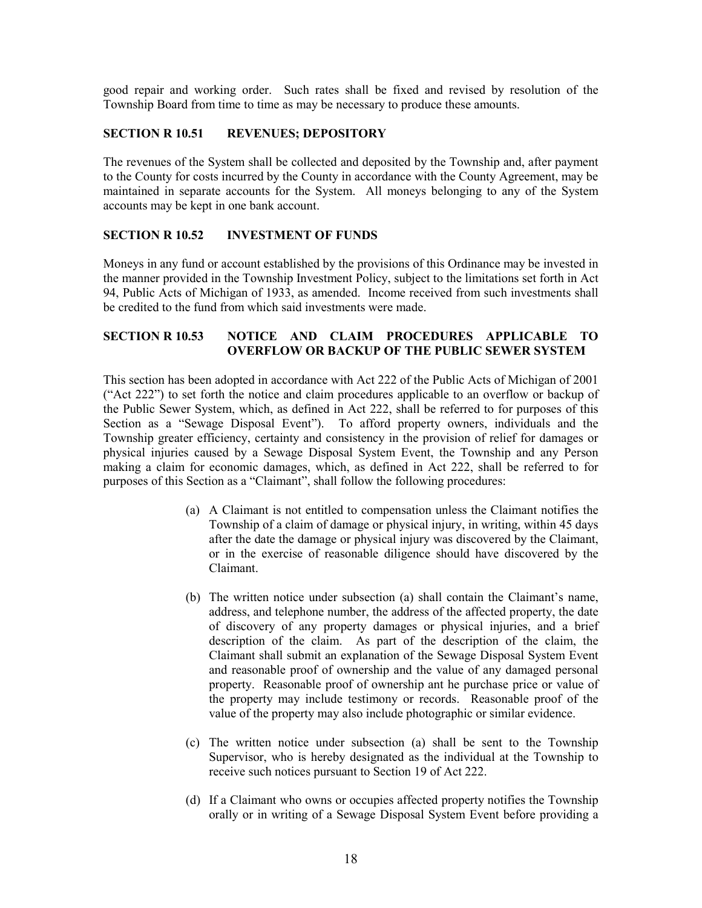good repair and working order. Such rates shall be fixed and revised by resolution of the Township Board from time to time as may be necessary to produce these amounts.

# SECTION R 10.51 REVENUES; DEPOSITORY

The revenues of the System shall be collected and deposited by the Township and, after payment to the County for costs incurred by the County in accordance with the County Agreement, may be maintained in separate accounts for the System. All moneys belonging to any of the System accounts may be kept in one bank account.

# SECTION R 10.52 INVESTMENT OF FUNDS

Moneys in any fund or account established by the provisions of this Ordinance may be invested in the manner provided in the Township Investment Policy, subject to the limitations set forth in Act 94, Public Acts of Michigan of 1933, as amended. Income received from such investments shall be credited to the fund from which said investments were made.

# SECTION R 10.53 NOTICE AND CLAIM PROCEDURES APPLICABLE TO OVERFLOW OR BACKUP OF THE PUBLIC SEWER SYSTEM

This section has been adopted in accordance with Act 222 of the Public Acts of Michigan of 2001 ("Act 222") to set forth the notice and claim procedures applicable to an overflow or backup of the Public Sewer System, which, as defined in Act 222, shall be referred to for purposes of this Section as a "Sewage Disposal Event"). To afford property owners, individuals and the Township greater efficiency, certainty and consistency in the provision of relief for damages or physical injuries caused by a Sewage Disposal System Event, the Township and any Person making a claim for economic damages, which, as defined in Act 222, shall be referred to for purposes of this Section as a "Claimant", shall follow the following procedures:

- (a) A Claimant is not entitled to compensation unless the Claimant notifies the Township of a claim of damage or physical injury, in writing, within 45 days after the date the damage or physical injury was discovered by the Claimant, or in the exercise of reasonable diligence should have discovered by the Claimant.
- (b) The written notice under subsection (a) shall contain the Claimant's name, address, and telephone number, the address of the affected property, the date of discovery of any property damages or physical injuries, and a brief description of the claim. As part of the description of the claim, the Claimant shall submit an explanation of the Sewage Disposal System Event and reasonable proof of ownership and the value of any damaged personal property. Reasonable proof of ownership ant he purchase price or value of the property may include testimony or records. Reasonable proof of the value of the property may also include photographic or similar evidence.
- (c) The written notice under subsection (a) shall be sent to the Township Supervisor, who is hereby designated as the individual at the Township to receive such notices pursuant to Section 19 of Act 222.
- (d) If a Claimant who owns or occupies affected property notifies the Township orally or in writing of a Sewage Disposal System Event before providing a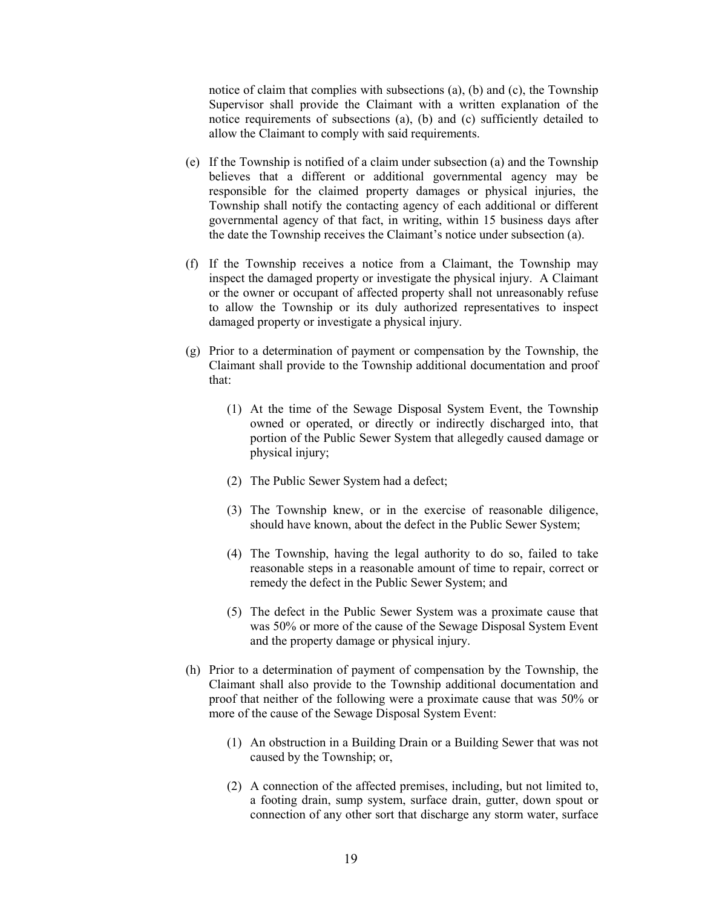notice of claim that complies with subsections (a), (b) and (c), the Township Supervisor shall provide the Claimant with a written explanation of the notice requirements of subsections (a), (b) and (c) sufficiently detailed to allow the Claimant to comply with said requirements.

- (e) If the Township is notified of a claim under subsection (a) and the Township believes that a different or additional governmental agency may be responsible for the claimed property damages or physical injuries, the Township shall notify the contacting agency of each additional or different governmental agency of that fact, in writing, within 15 business days after the date the Township receives the Claimant's notice under subsection (a).
- (f) If the Township receives a notice from a Claimant, the Township may inspect the damaged property or investigate the physical injury. A Claimant or the owner or occupant of affected property shall not unreasonably refuse to allow the Township or its duly authorized representatives to inspect damaged property or investigate a physical injury.
- (g) Prior to a determination of payment or compensation by the Township, the Claimant shall provide to the Township additional documentation and proof that:
	- (1) At the time of the Sewage Disposal System Event, the Township owned or operated, or directly or indirectly discharged into, that portion of the Public Sewer System that allegedly caused damage or physical injury;
	- (2) The Public Sewer System had a defect;
	- (3) The Township knew, or in the exercise of reasonable diligence, should have known, about the defect in the Public Sewer System;
	- (4) The Township, having the legal authority to do so, failed to take reasonable steps in a reasonable amount of time to repair, correct or remedy the defect in the Public Sewer System; and
	- (5) The defect in the Public Sewer System was a proximate cause that was 50% or more of the cause of the Sewage Disposal System Event and the property damage or physical injury.
- (h) Prior to a determination of payment of compensation by the Township, the Claimant shall also provide to the Township additional documentation and proof that neither of the following were a proximate cause that was 50% or more of the cause of the Sewage Disposal System Event:
	- (1) An obstruction in a Building Drain or a Building Sewer that was not caused by the Township; or,
	- (2) A connection of the affected premises, including, but not limited to, a footing drain, sump system, surface drain, gutter, down spout or connection of any other sort that discharge any storm water, surface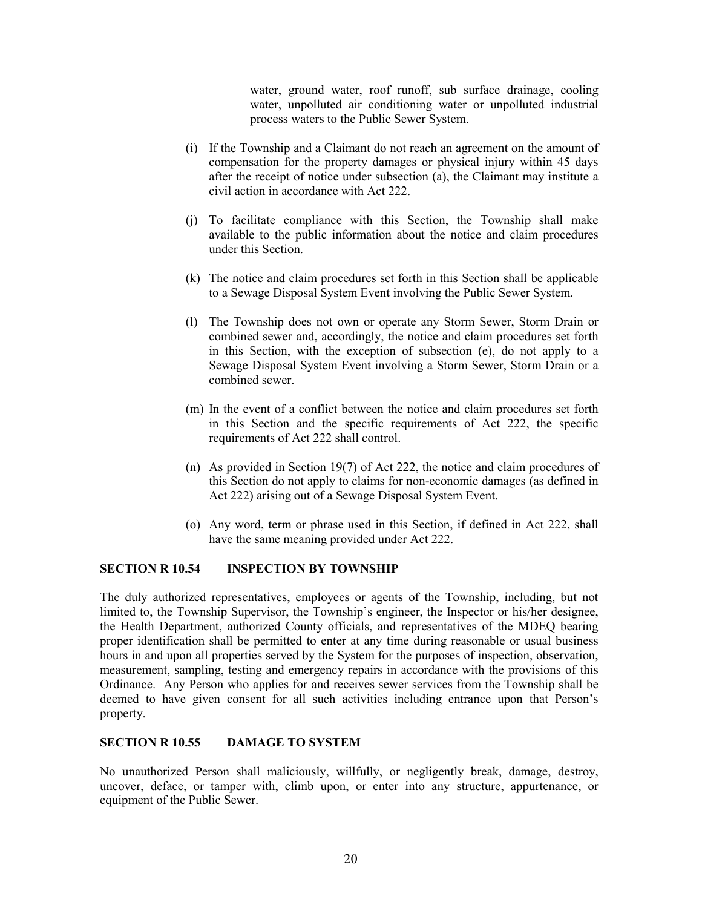water, ground water, roof runoff, sub surface drainage, cooling water, unpolluted air conditioning water or unpolluted industrial process waters to the Public Sewer System.

- (i) If the Township and a Claimant do not reach an agreement on the amount of compensation for the property damages or physical injury within 45 days after the receipt of notice under subsection (a), the Claimant may institute a civil action in accordance with Act 222.
- (j) To facilitate compliance with this Section, the Township shall make available to the public information about the notice and claim procedures under this Section.
- (k) The notice and claim procedures set forth in this Section shall be applicable to a Sewage Disposal System Event involving the Public Sewer System.
- (l) The Township does not own or operate any Storm Sewer, Storm Drain or combined sewer and, accordingly, the notice and claim procedures set forth in this Section, with the exception of subsection (e), do not apply to a Sewage Disposal System Event involving a Storm Sewer, Storm Drain or a combined sewer.
- (m) In the event of a conflict between the notice and claim procedures set forth in this Section and the specific requirements of Act 222, the specific requirements of Act 222 shall control.
- (n) As provided in Section 19(7) of Act 222, the notice and claim procedures of this Section do not apply to claims for non-economic damages (as defined in Act 222) arising out of a Sewage Disposal System Event.
- (o) Any word, term or phrase used in this Section, if defined in Act 222, shall have the same meaning provided under Act 222.

## SECTION R 10.54 INSPECTION BY TOWNSHIP

The duly authorized representatives, employees or agents of the Township, including, but not limited to, the Township Supervisor, the Township's engineer, the Inspector or his/her designee, the Health Department, authorized County officials, and representatives of the MDEQ bearing proper identification shall be permitted to enter at any time during reasonable or usual business hours in and upon all properties served by the System for the purposes of inspection, observation, measurement, sampling, testing and emergency repairs in accordance with the provisions of this Ordinance. Any Person who applies for and receives sewer services from the Township shall be deemed to have given consent for all such activities including entrance upon that Person's property.

#### SECTION R 10.55 DAMAGE TO SYSTEM

No unauthorized Person shall maliciously, willfully, or negligently break, damage, destroy, uncover, deface, or tamper with, climb upon, or enter into any structure, appurtenance, or equipment of the Public Sewer.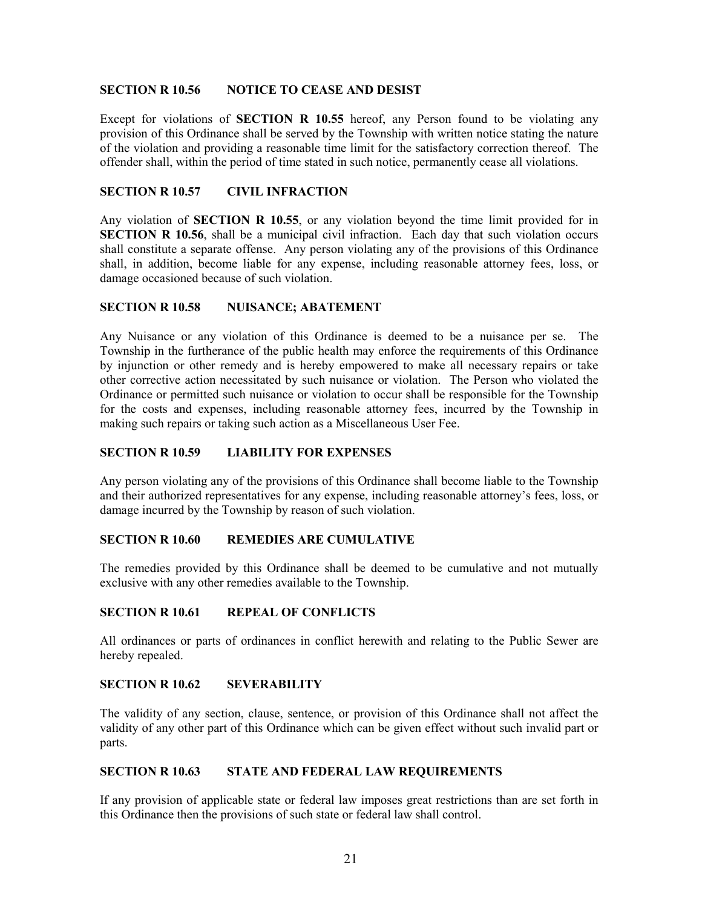#### SECTION R 10.56 NOTICE TO CEASE AND DESIST

Except for violations of SECTION R 10.55 hereof, any Person found to be violating any provision of this Ordinance shall be served by the Township with written notice stating the nature of the violation and providing a reasonable time limit for the satisfactory correction thereof. The offender shall, within the period of time stated in such notice, permanently cease all violations.

#### SECTION R 10.57 CIVIL INFRACTION

Any violation of SECTION R 10.55, or any violation beyond the time limit provided for in SECTION R 10.56, shall be a municipal civil infraction. Each day that such violation occurs shall constitute a separate offense. Any person violating any of the provisions of this Ordinance shall, in addition, become liable for any expense, including reasonable attorney fees, loss, or damage occasioned because of such violation.

#### SECTION R 10.58 NUISANCE; ABATEMENT

Any Nuisance or any violation of this Ordinance is deemed to be a nuisance per se. The Township in the furtherance of the public health may enforce the requirements of this Ordinance by injunction or other remedy and is hereby empowered to make all necessary repairs or take other corrective action necessitated by such nuisance or violation. The Person who violated the Ordinance or permitted such nuisance or violation to occur shall be responsible for the Township for the costs and expenses, including reasonable attorney fees, incurred by the Township in making such repairs or taking such action as a Miscellaneous User Fee.

#### SECTION R 10.59 LIABILITY FOR EXPENSES

Any person violating any of the provisions of this Ordinance shall become liable to the Township and their authorized representatives for any expense, including reasonable attorney's fees, loss, or damage incurred by the Township by reason of such violation.

## SECTION R 10.60 REMEDIES ARE CUMULATIVE

The remedies provided by this Ordinance shall be deemed to be cumulative and not mutually exclusive with any other remedies available to the Township.

#### SECTION R 10.61 REPEAL OF CONFLICTS

All ordinances or parts of ordinances in conflict herewith and relating to the Public Sewer are hereby repealed.

## SECTION R 10.62 SEVERABILITY

The validity of any section, clause, sentence, or provision of this Ordinance shall not affect the validity of any other part of this Ordinance which can be given effect without such invalid part or parts.

#### SECTION R 10.63 STATE AND FEDERAL LAW REQUIREMENTS

If any provision of applicable state or federal law imposes great restrictions than are set forth in this Ordinance then the provisions of such state or federal law shall control.